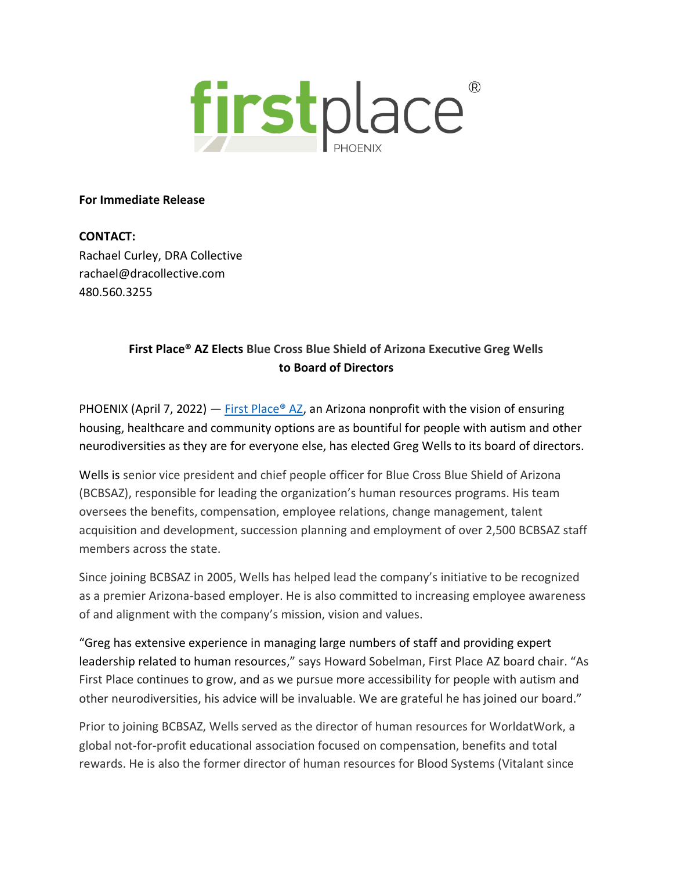

## **For Immediate Release**

**CONTACT:**  Rachael Curley, DRA Collective rachael@dracollective.com 480.560.3255

## **First Place® AZ Elects Blue Cross Blue Shield of Arizona Executive Greg Wells to Board of Directors**

PHOENIX (April 7, 2022) — First Place<sup>®</sup> AZ, an Arizona nonprofit with the vision of ensuring housing, healthcare and community options are as bountiful for people with autism and other neurodiversities as they are for everyone else, has elected Greg Wells to its board of directors.

Wells is senior vice president and chief people officer for Blue Cross Blue Shield of Arizona (BCBSAZ), responsible for leading the organization's human resources programs. His team oversees the benefits, compensation, employee relations, change management, talent acquisition and development, succession planning and employment of over 2,500 BCBSAZ staff members across the state.

Since joining BCBSAZ in 2005, Wells has helped lead the company's initiative to be recognized as a premier Arizona-based employer. He is also committed to increasing employee awareness of and alignment with the company's mission, vision and values.

"Greg has extensive experience in managing large numbers of staff and providing expert leadership related to human resources," says Howard Sobelman, First Place AZ board chair. "As First Place continues to grow, and as we pursue more accessibility for people with autism and other neurodiversities, his advice will be invaluable. We are grateful he has joined our board."

Prior to joining BCBSAZ, Wells served as the director of human resources for WorldatWork, a global not-for-profit educational association focused on compensation, benefits and total rewards. He is also the former director of human resources for Blood Systems (Vitalant since